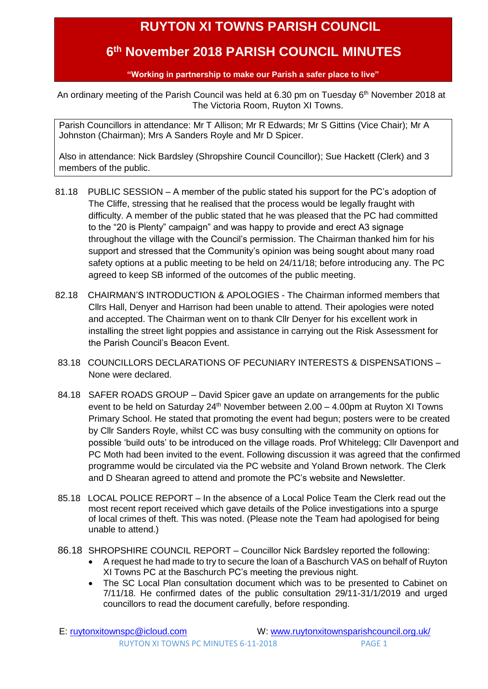## **RUYTON XI TOWNS PARISH COUNCIL**

## <span id="page-0-0"></span> **6 th November 2018 PARISH COUNCIL MINUTES**

**"Working in partnership to make our Parish a safer place to live"**

An ordinary meeting of the Parish Council was held at 6.30 pm on Tuesday 6<sup>th</sup> November 2018 at The Victoria Room, Ruyton XI Towns.

Parish Councillors in attendance: Mr T Allison; Mr R Edwards; Mr S Gittins (Vice Chair); Mr A Johnston (Chairman); Mrs A Sanders Royle and Mr D Spicer.

Also in attendance: Nick Bardsley (Shropshire Council Councillor); Sue Hackett (Clerk) and 3 members of the public.

- 81.18 PUBLIC SESSION A member of the public stated his support for the PC's adoption of The Cliffe, stressing that he realised that the process would be legally fraught with difficulty. A member of the public stated that he was pleased that the PC had committed to the "20 is Plenty" campaign" and was happy to provide and erect A3 signage throughout the village with the Council's permission. The Chairman thanked him for his support and stressed that the Community's opinion was being sought about many road safety options at a public meeting to be held on 24/11/18; before introducing any. The PC agreed to keep SB informed of the outcomes of the public meeting.
- 82.18 CHAIRMAN'S INTRODUCTION & APOLOGIES The Chairman informed members that Cllrs Hall, Denyer and Harrison had been unable to attend. Their apologies were noted and accepted. The Chairman went on to thank Cllr Denyer for his excellent work in installing the street light poppies and assistance in carrying out the Risk Assessment for the Parish Council's Beacon Event.
- 83.18 COUNCILLORS DECLARATIONS OF PECUNIARY INTERESTS & DISPENSATIONS None were declared.
- 84.18 SAFER ROADS GROUP David Spicer gave an update on arrangements for the public event to be held on Saturday  $24<sup>th</sup>$  November between  $2.00 - 4.00$ pm at Ruyton XI Towns Primary School. He stated that promoting the event had begun; posters were to be created by Cllr Sanders Royle, whilst CC was busy consulting with the community on options for possible 'build outs' to be introduced on the village roads. Prof Whitelegg; Cllr Davenport and PC Moth had been invited to the event. Following discussion it was agreed that the confirmed programme would be circulated via the PC website and Yoland Brown network. The Clerk and D Shearan agreed to attend and promote the PC's website and Newsletter.
- 85.18 LOCAL POLICE REPORT In the absence of a Local Police Team the Clerk read out the most recent report received which gave details of the Police investigations into a spurge of local crimes of theft. This was noted. (Please note the Team had apologised for being unable to attend.)
- 86.18 SHROPSHIRE COUNCIL REPORT Councillor Nick Bardsley reported the following:
	- A request he had made to try to secure the loan of a Baschurch VAS on behalf of Ruyton XI Towns PC at the Baschurch PC's meeting the previous night.
	- The SC Local Plan consultation document which was to be presented to Cabinet on 7/11/18. He confirmed dates of the public consultation 29/11-31/1/2019 and urged councillors to read the document carefully, before responding.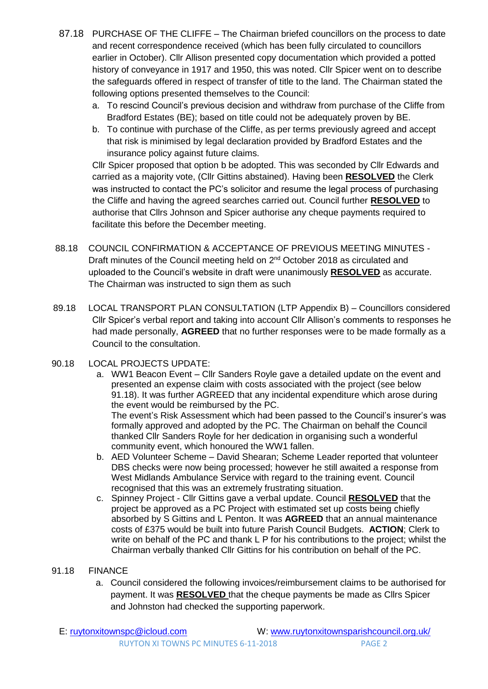- 87.18 PURCHASE OF THE CLIFFE The Chairman briefed councillors on the process to date and recent correspondence received (which has been fully circulated to councillors earlier in October). Cllr Allison presented copy documentation which provided a potted history of conveyance in 1917 and 1950, this was noted. Cllr Spicer went on to describe the safeguards offered in respect of transfer of title to the land. The Chairman stated the following options presented themselves to the Council:
	- a. To rescind Council's previous decision and withdraw from purchase of the Cliffe from Bradford Estates (BE); based on title could not be adequately proven by BE.
	- b. To continue with purchase of the Cliffe, as per terms previously agreed and accept that risk is minimised by legal declaration provided by Bradford Estates and the insurance policy against future claims.

Cllr Spicer proposed that option b be adopted. This was seconded by Cllr Edwards and carried as a majority vote, (Cllr Gittins abstained). Having been **RESOLVED** the Clerk was instructed to contact the PC's solicitor and resume the legal process of purchasing the Cliffe and having the agreed searches carried out. Council further **RESOLVED** to authorise that Cllrs Johnson and Spicer authorise any cheque payments required to facilitate this before the December meeting.

- 88.18 COUNCIL CONFIRMATION & ACCEPTANCE OF PREVIOUS MEETING MINUTES Draft minutes of the Council meeting held on 2<sup>nd</sup> October 2018 as circulated and uploaded to the Council's website in draft were unanimously **RESOLVED** as accurate. The Chairman was instructed to sign them as such
- 89.18 LOCAL TRANSPORT PLAN CONSULTATION (LTP Appendix B) Councillors considered Cllr Spicer's verbal report and taking into account Cllr Allison's comments to responses he had made personally, **AGREED** that no further responses were to be made formally as a Council to the consultation.
- 90.18 LOCAL PROJECTS UPDATE:
	- a. WW1 Beacon Event Cllr Sanders Royle gave a detailed update on the event and presented an expense claim with costs associated with the project (see below 91.18). It was further AGREED that any incidental expenditure which arose during the event would be reimbursed by the PC.

The event's Risk Assessment which had been passed to the Council's insurer's was formally approved and adopted by the PC. The Chairman on behalf the Council thanked Cllr Sanders Royle for her dedication in organising such a wonderful community event, which honoured the WW1 fallen.

- b. AED Volunteer Scheme David Shearan; Scheme Leader reported that volunteer DBS checks were now being processed; however he still awaited a response from West Midlands Ambulance Service with regard to the training event. Council recognised that this was an extremely frustrating situation.
- c. Spinney Project Cllr Gittins gave a verbal update. Council **RESOLVED** that the project be approved as a PC Project with estimated set up costs being chiefly absorbed by S Gittins and L Penton. It was **AGREED** that an annual maintenance costs of £375 would be built into future Parish Council Budgets. **ACTION**; Clerk to write on behalf of the PC and thank L P for his contributions to the project; whilst the Chairman verbally thanked Cllr Gittins for his contribution on behalf of the PC.

## 91.18 FINANCE

a. Council considered the following invoices/reimbursement claims to be authorised for payment. It was **RESOLVED** that the cheque payments be made as Cllrs Spicer and Johnston had checked the supporting paperwork.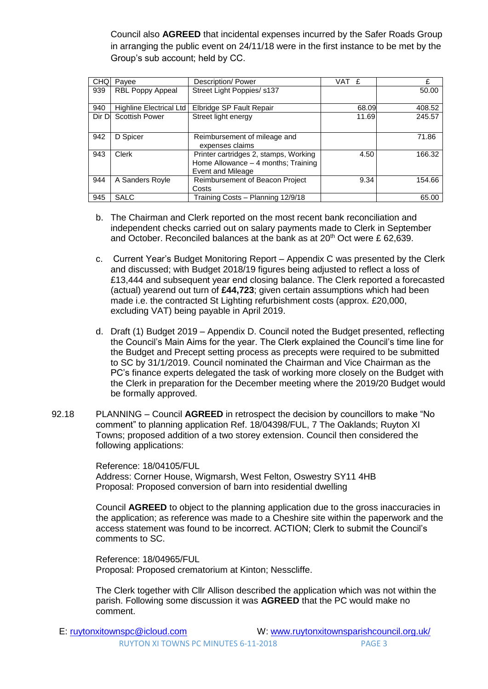Council also **AGREED** that incidental expenses incurred by the Safer Roads Group in arranging the public event on 24/11/18 were in the first instance to be met by the Group's sub account; held by CC.

| <b>CHQ</b> | Pavee                   | Description/ Power                                                                                | VAT £ | £      |
|------------|-------------------------|---------------------------------------------------------------------------------------------------|-------|--------|
| 939        | RBL Poppy Appeal        | Street Light Poppies/ s137                                                                        |       | 50.00  |
| 940        | Highline Electrical Ltd | Elbridge SP Fault Repair                                                                          | 68.09 | 408.52 |
| Dir D      | <b>Scottish Power</b>   | Street light energy                                                                               | 11.69 | 245.57 |
| 942        | D Spicer                | Reimbursement of mileage and<br>expenses claims                                                   |       | 71.86  |
| 943        | Clerk                   | Printer cartridges 2, stamps, Working<br>Home Allowance - 4 months; Training<br>Event and Mileage | 4.50  | 166.32 |
| 944        | A Sanders Royle         | Reimbursement of Beacon Project<br>Costs                                                          | 9.34  | 154.66 |
| 945        | <b>SALC</b>             | Training Costs – Planning 12/9/18                                                                 |       | 65.00  |

- b. The Chairman and Clerk reported on the most recent bank reconciliation and independent checks carried out on salary payments made to Clerk in September and October. Reconciled balances at the bank as at  $20<sup>th</sup>$  Oct were £ 62,639.
- c. Current Year's Budget Monitoring Report Appendix C was presented by the Clerk and discussed; with Budget 2018/19 figures being adjusted to reflect a loss of £13,444 and subsequent year end closing balance. The Clerk reported a forecasted (actual) yearend out turn of **£44,723**; given certain assumptions which had been made i.e. the contracted St Lighting refurbishment costs (approx. £20,000, excluding VAT) being payable in April 2019.
- d. Draft (1) Budget 2019 Appendix D. Council noted the Budget presented, reflecting the Council's Main Aims for the year. The Clerk explained the Council's time line for the Budget and Precept setting process as precepts were required to be submitted to SC by 31/1/2019. Council nominated the Chairman and Vice Chairman as the PC's finance experts delegated the task of working more closely on the Budget with the Clerk in preparation for the December meeting where the 2019/20 Budget would be formally approved.
- 92.18 PLANNING Council **AGREED** in retrospect the decision by councillors to make "No comment" to planning application Ref. 18/04398/FUL, 7 The Oaklands; Ruyton XI Towns; proposed addition of a two storey extension. Council then considered the following applications:

Reference: 18/04105/FUL Address: Corner House, Wigmarsh, West Felton, Oswestry SY11 4HB Proposal: Proposed conversion of barn into residential dwelling

Council **AGREED** to object to the planning application due to the gross inaccuracies in the application; as reference was made to a Cheshire site within the paperwork and the access statement was found to be incorrect. ACTION; Clerk to submit the Council's comments to SC.

Reference: 18/04965/FUL Proposal: Proposed crematorium at Kinton; Nesscliffe.

The Clerk together with Cllr Allison described the application which was not within the parish. Following some discussion it was **AGREED** that the PC would make no comment.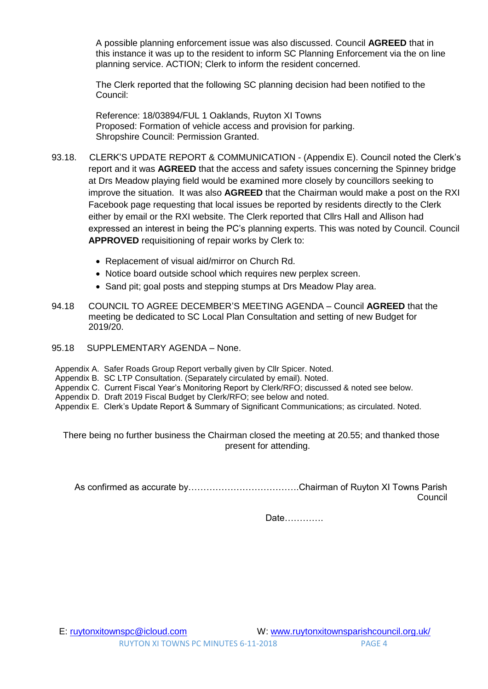A possible planning enforcement issue was also discussed. Council **AGREED** that in this instance it was up to the resident to inform SC Planning Enforcement via the on line planning service. ACTION; Clerk to inform the resident concerned.

The Clerk reported that the following SC planning decision had been notified to the Council:

Reference: 18/03894/FUL 1 Oaklands, Ruyton XI Towns Proposed: Formation of vehicle access and provision for parking. Shropshire Council: Permission Granted.

- 93.18. CLERK'S UPDATE REPORT & COMMUNICATION (Appendix E). Council noted the Clerk's report and it was **AGREED** that the access and safety issues concerning the Spinney bridge at Drs Meadow playing field would be examined more closely by councillors seeking to improve the situation. It was also **AGREED** that the Chairman would make a post on the RXI Facebook page requesting that local issues be reported by residents directly to the Clerk either by email or the RXI website. The Clerk reported that Cllrs Hall and Allison had expressed an interest in being the PC's planning experts. This was noted by Council. Council **APPROVED** requisitioning of repair works by Clerk to:
	- Replacement of visual aid/mirror on Church Rd.
	- Notice board outside school which requires new perplex screen.
	- Sand pit; goal posts and stepping stumps at Drs Meadow Play area.
- 94.18 COUNCIL TO AGREE DECEMBER'S MEETING AGENDA Council **AGREED** that the meeting be dedicated to SC Local Plan Consultation and setting of new Budget for 2019/20.
- 95.18 SUPPLEMENTARY AGENDA None.
- Appendix A. Safer Roads Group Report verbally given by Cllr Spicer. Noted.
- Appendix B. SC LTP Consultation. (Separately circulated by email). Noted.
- Appendix C. Current Fiscal Year's Monitoring Report by Clerk/RFO; discussed & noted see below.
- Appendix D. Draft 2019 Fiscal Budget by Clerk/RFO; see below and noted.
- Appendix E. Clerk's Update Report & Summary of Significant Communications; as circulated. Noted.

There being no further business the Chairman closed the meeting at 20.55; and thanked those present for attending.

As confirmed as accurate by……………………………….Chairman of Ruyton XI Towns Parish Council

Date………….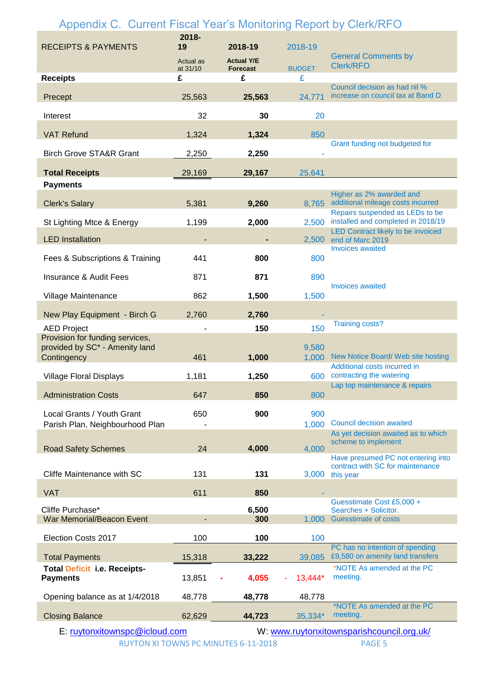| Appendix C. Current Fiscal Year's Monitoring Report by Clerk/RFO                 |                       |                                      |                |                                                                                          |
|----------------------------------------------------------------------------------|-----------------------|--------------------------------------|----------------|------------------------------------------------------------------------------------------|
| <b>RECEIPTS &amp; PAYMENTS</b>                                                   | 2018-<br>19           | 2018-19                              | 2018-19        | <b>General Comments by</b>                                                               |
|                                                                                  | Actual as<br>at 31/10 | <b>Actual Y/E</b><br><b>Forecast</b> | <b>BUDGET</b>  | <b>Clerk/RFO</b>                                                                         |
| <b>Receipts</b>                                                                  | £                     | £                                    | £              |                                                                                          |
| Precept                                                                          | 25,563                | 25,563                               | 24,771         | Council decision as had nil %<br>increase on council tax at Band D                       |
| Interest                                                                         | 32                    | 30                                   | 20             |                                                                                          |
| <b>VAT Refund</b>                                                                | 1,324                 | 1,324                                | 850            |                                                                                          |
| <b>Birch Grove STA&amp;R Grant</b>                                               | 2,250                 | 2,250                                |                | Grant funding not budgeted for                                                           |
| <b>Total Receipts</b>                                                            | 29,169                | 29,167                               | 25,641         |                                                                                          |
| <b>Payments</b>                                                                  |                       |                                      |                |                                                                                          |
| <b>Clerk's Salary</b>                                                            | 5,381                 | 9,260                                | 8,765          | Higher as 2% awarded and<br>additional mileage costs incurred                            |
| St Lighting Mtce & Energy                                                        | 1,199                 | 2,000                                | 2,500          | Repairs suspended as LEDs to be<br>installed and completed in 2018/19                    |
| <b>LED</b> Installation                                                          |                       |                                      | 2,500          | <b>LED Contract likely to be invoiced</b><br>end of Marc 2019<br><b>Invoices awaited</b> |
| Fees & Subscriptions & Training                                                  | 441                   | 800                                  | 800            |                                                                                          |
| <b>Insurance &amp; Audit Fees</b>                                                | 871                   | 871                                  | 890            | <b>Invoices awaited</b>                                                                  |
| Village Maintenance                                                              | 862                   | 1,500                                | 1,500          |                                                                                          |
| New Play Equipment - Birch G                                                     | 2,760                 | 2,760                                |                | <b>Training costs?</b>                                                                   |
| <b>AED Project</b>                                                               |                       | 150                                  | 150            |                                                                                          |
| Provision for funding services,<br>provided by SC* - Amenity land<br>Contingency | 461                   | 1,000                                | 9,580<br>1,000 | New Notice Board/ Web site hosting                                                       |
| <b>Village Floral Displays</b>                                                   | 1,181                 | 1,250                                | 600            | Additional costs incurred in<br>contracting the watering                                 |
| <b>Administration Costs</b>                                                      | 647                   | 850                                  | 800            | Lap top maintenance & repairs                                                            |
| Local Grants / Youth Grant                                                       | 650                   | 900                                  | 900            |                                                                                          |
| Parish Plan, Neighbourhood Plan                                                  |                       |                                      | 1,000          | <b>Council decision awaited</b>                                                          |
| <b>Road Safety Schemes</b>                                                       | 24                    | 4,000                                | 4,000          | As yet decision awaited as to which<br>scheme to implement                               |
|                                                                                  |                       |                                      |                | Have presumed PC not entering into<br>contract with SC for maintenance                   |
| Cliffe Maintenance with SC                                                       | 131                   | 131                                  | 3,000          | this year                                                                                |
| <b>VAT</b>                                                                       | 611                   | 850                                  |                |                                                                                          |
| Cliffe Purchase*<br>War Memorial/Beacon Event                                    |                       | 6,500<br>300                         |                | Guesstimate Cost £5,000 +<br>Searches + Solicitor.<br>1,000 Guesstimate of costs         |
|                                                                                  |                       |                                      |                |                                                                                          |
| Election Costs 2017                                                              | 100                   | 100                                  | 100            | PC has no intention of spending                                                          |
| <b>Total Payments</b>                                                            | 15,318                | 33,222                               | 39,085         | £9,580 on amenity land transfers                                                         |
| <b>Total Deficit i.e. Receipts-</b><br><b>Payments</b>                           | 13,851                | 4,055                                | 13,444*        | *NOTE As amended at the PC<br>meeting.                                                   |
| Opening balance as at 1/4/2018                                                   | 48,778                | 48,778                               | 48,778         |                                                                                          |
| <b>Closing Balance</b>                                                           | 62,629                | 44,723                               | 35,334*        | *NOTE As amended at the PC<br>meeting.                                                   |
| E: ruytonxitownspc@icloud.com                                                    |                       |                                      |                | W: www.ruytonxitownsparishcouncil.org.uk/                                                |

RUYTON XI TOWNS PC MINUTES 6-11-2018 PAGE 5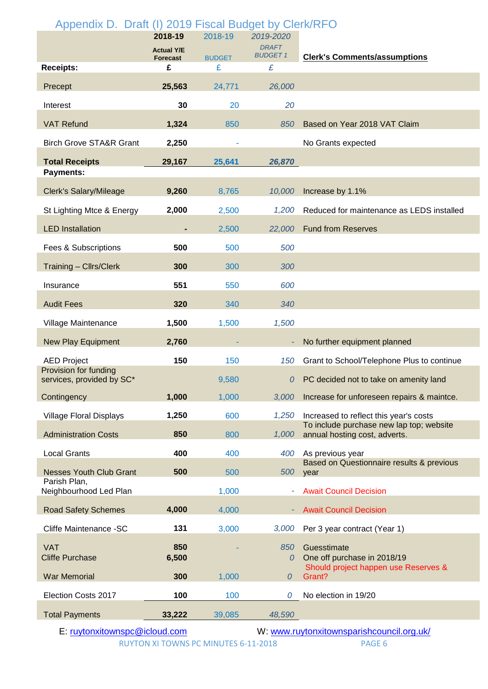| Appendix D. Draft (I) 2019 Fiscal Budget by Clerk/RFO | 2018-19              | 2018-19            | 2019-2020            |                                                                           |
|-------------------------------------------------------|----------------------|--------------------|----------------------|---------------------------------------------------------------------------|
|                                                       | <b>Actual Y/E</b>    |                    | <b>DRAFT</b>         |                                                                           |
| <b>Receipts:</b>                                      | <b>Forecast</b><br>£ | <b>BUDGET</b><br>£ | <b>BUDGET 1</b><br>£ | <b>Clerk's Comments/assumptions</b>                                       |
| Precept                                               | 25,563               | 24,771             | 26,000               |                                                                           |
| Interest                                              | 30                   | 20                 | 20                   |                                                                           |
| <b>VAT Refund</b>                                     | 1,324                | 850                | 850                  | Based on Year 2018 VAT Claim                                              |
| <b>Birch Grove STA&amp;R Grant</b>                    | 2,250                |                    |                      | No Grants expected                                                        |
| <b>Total Receipts</b>                                 | 29,167               | 25,641             | 26,870               |                                                                           |
| <b>Payments:</b>                                      |                      |                    |                      |                                                                           |
| <b>Clerk's Salary/Mileage</b>                         | 9,260                | 8,765              | 10,000               | Increase by 1.1%                                                          |
| St Lighting Mtce & Energy                             | 2,000                | 2,500              | 1,200                | Reduced for maintenance as LEDS installed                                 |
| <b>LED</b> Installation                               |                      | 2,500              | 22,000               | <b>Fund from Reserves</b>                                                 |
| Fees & Subscriptions                                  | 500                  | 500                | 500                  |                                                                           |
| <b>Training - Cllrs/Clerk</b>                         | 300                  | 300                | 300                  |                                                                           |
| Insurance                                             | 551                  | 550                | 600                  |                                                                           |
| <b>Audit Fees</b>                                     | 320                  | 340                | 340                  |                                                                           |
| Village Maintenance                                   | 1,500                | 1,500              | 1,500                |                                                                           |
| <b>New Play Equipment</b>                             | 2,760                |                    |                      | No further equipment planned                                              |
| <b>AED Project</b>                                    | 150                  | 150                | 150                  | Grant to School/Telephone Plus to continue                                |
| Provision for funding<br>services, provided by SC*    |                      | 9,580              | 0                    | PC decided not to take on amenity land                                    |
| Contingency                                           | 1,000                | 1,000              | 3,000                | Increase for unforeseen repairs & maintce.                                |
| <b>Village Floral Displays</b>                        | 1,250                | 600                | 1,250                | Increased to reflect this year's costs                                    |
| <b>Administration Costs</b>                           | 850                  | 800                | 1,000                | To include purchase new lap top; website<br>annual hosting cost, adverts. |
| <b>Local Grants</b>                                   | 400                  | 400                | 400                  | As previous year                                                          |
| <b>Nesses Youth Club Grant</b>                        | 500                  | 500                | 500                  | Based on Questionnaire results & previous<br>year                         |
| Parish Plan,<br>Neighbourhood Led Plan                |                      | 1,000              |                      | <b>Await Council Decision</b>                                             |
| <b>Road Safety Schemes</b>                            | 4,000                | 4,000              |                      | <b>Await Council Decision</b>                                             |
| Cliffe Maintenance -SC                                | 131                  | 3,000              | 3,000                | Per 3 year contract (Year 1)                                              |
| <b>VAT</b>                                            | 850                  |                    | 850                  | Guesstimate                                                               |
| <b>Cliffe Purchase</b>                                | 6,500                |                    | 0                    | One off purchase in 2018/19<br>Should project happen use Reserves &       |
| <b>War Memorial</b>                                   | 300                  | 1,000              | $\overline{0}$       | Grant?                                                                    |
| Election Costs 2017                                   | 100                  | 100                | 0                    | No election in 19/20                                                      |
| <b>Total Payments</b>                                 | 33,222               | 39,085             | 48,590               |                                                                           |

E: <u>ruytonxitownspc@icloud.com</u><br>RUYTON XI TOWNS PC MINUTES 6-11-2018 PAGE 6

RUYTON XI TOWNS PC MINUTES 6-11-2018